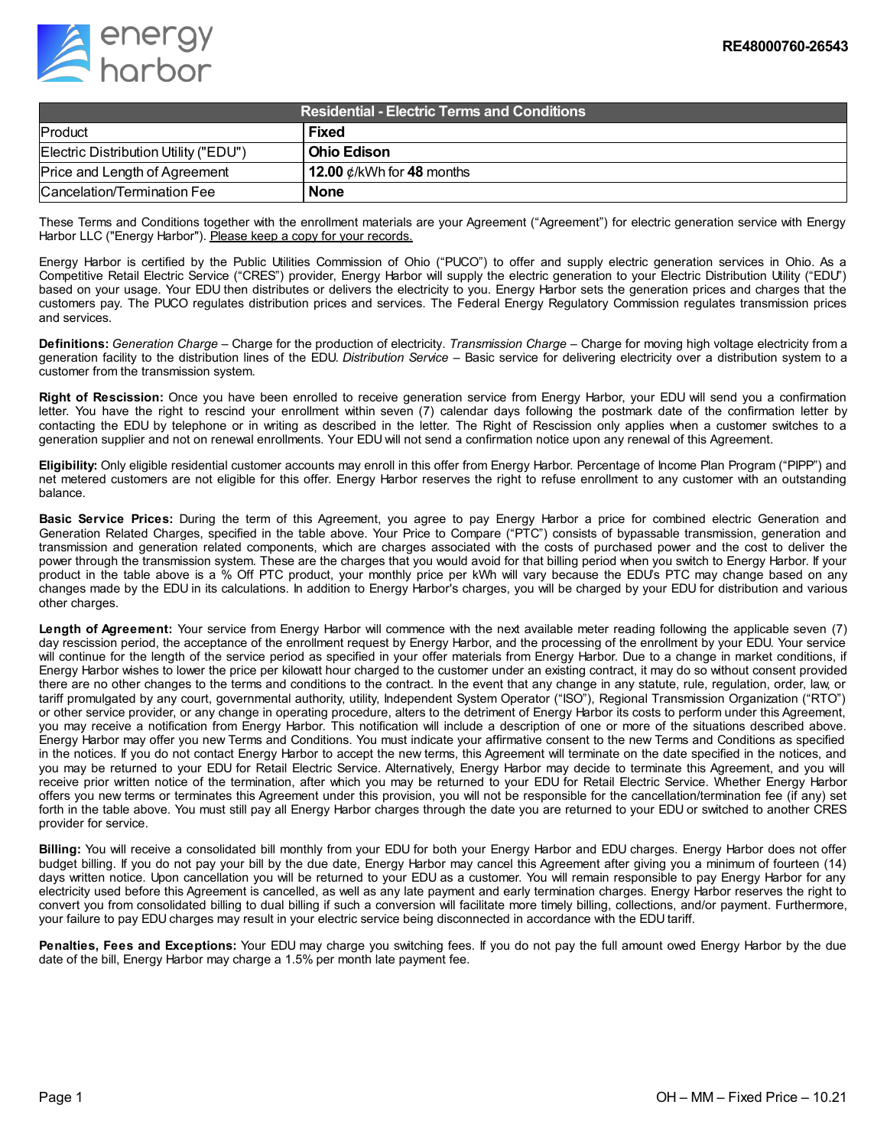

| Residential - Electric Terms and Conditions, |                                 |
|----------------------------------------------|---------------------------------|
| Product                                      | <b>Fixed</b>                    |
| Electric Distribution Utility ("EDU")        | l Ohio Edison                   |
| Price and Length of Agreement                | 12.00 $\phi$ /kWh for 48 months |
| Cancelation/Termination Fee                  | <b>None</b>                     |

These Terms and Conditions together with the enrollment materials are your Agreement ("Agreement") for electric generation service with Energy Harbor LLC ("Energy Harbor"). Please keep a copy for your records.

Energy Harbor is certified by the Public Utilities Commission of Ohio ("PUCO") to offer and supply electric generation services in Ohio. As a Competitive Retail Electric Service ("CRES") provider, Energy Harbor will supply the electric generation to your Electric Distribution Utility ("EDU") based on your usage. Your EDU then distributes or delivers the electricity to you. Energy Harbor sets the generation prices and charges that the customers pay. The PUCO regulates distribution prices and services. The Federal Energy Regulatory Commission regulates transmission prices and services.

**Definitions:** *Generation Charge* – Charge for the production of electricity. *Transmission Charge* – Charge for moving high voltage electricity from a generation facility to the distribution lines of the EDU. *Distribution Service* – Basic service for delivering electricity over a distribution system to a customer from the transmission system.

**Right of Rescission:** Once you have been enrolled to receive generation service from Energy Harbor, your EDU will send you a confirmation letter. You have the right to rescind your enrollment within seven (7) calendar days following the postmark date of the confirmation letter by contacting the EDU by telephone or in writing as described in the letter. The Right of Rescission only applies when a customer switches to a generation supplier and not on renewal enrollments. Your EDU will not send a confirmation notice upon any renewal of this Agreement.

**Eligibility:** Only eligible residential customer accounts may enroll in this offer from Energy Harbor. Percentage of Income Plan Program ("PIPP") and net metered customers are not eligible for this offer. Energy Harbor reserves the right to refuse enrollment to any customer with an outstanding balance.

**Basic Service Prices:** During the term of this Agreement, you agree to pay Energy Harbor a price for combined electric Generation and Generation Related Charges, specified in the table above. Your Price to Compare ("PTC") consists of bypassable transmission, generation and transmission and generation related components, which are charges associated with the costs of purchased power and the cost to deliver the power through the transmission system. These are the charges that you would avoid for that billing period when you switch to Energy Harbor. If your product in the table above is a % Off PTC product, your monthly price per kWh will vary because the EDU's PTC may change based on any changes made by the EDU in its calculations. In addition to Energy Harbor's charges, you will be charged by your EDU for distribution and various other charges.

**Length of Agreement:** Your service from Energy Harbor will commence with the next available meter reading following the applicable seven (7) day rescission period, the acceptance of the enrollment request by Energy Harbor, and the processing of the enrollment by your EDU. Your service will continue for the length of the service period as specified in your offer materials from Energy Harbor. Due to a change in market conditions, if Energy Harbor wishes to lower the price per kilowatt hour charged to the customer under an existing contract, it may do so without consent provided there are no other changes to the terms and conditions to the contract. In the event that any change in any statute, rule, regulation, order, law, or tariff promulgated by any court, governmental authority, utility, Independent System Operator ("ISO"), Regional Transmission Organization ("RTO") or other service provider, or any change in operating procedure, alters to the detriment of Energy Harbor its costs to perform under this Agreement, you may receive a notification from Energy Harbor. This notification will include a description of one or more of the situations described above. Energy Harbor may offer you new Terms and Conditions. You must indicate your affirmative consent to the new Terms and Conditions as specified in the notices. If you do not contact Energy Harbor to accept the new terms, this Agreement will terminate on the date specified in the notices, and you may be returned to your EDU for Retail Electric Service. Alternatively, Energy Harbor may decide to terminate this Agreement, and you will receive prior written notice of the termination, after which you may be returned to your EDU for Retail Electric Service. Whether Energy Harbor offers you new terms or terminates this Agreement under this provision, you will not be responsible for the cancellation/termination fee (if any) set forth in the table above. You must still pay all Energy Harbor charges through the date you are returned to your EDU or switched to another CRES provider for service.

**Billing:** You will receive a consolidated bill monthly from your EDU for both your Energy Harbor and EDU charges. Energy Harbor does not offer budget billing. If you do not pay your bill by the due date, Energy Harbor may cancel this Agreement after giving you a minimum of fourteen (14) days written notice. Upon cancellation you will be returned to your EDU as a customer. You will remain responsible to pay Energy Harbor for any electricity used before this Agreement is cancelled, as well as any late payment and early termination charges. Energy Harbor reserves the right to convert you from consolidated billing to dual billing if such a conversion will facilitate more timely billing, collections, and/or payment. Furthermore, your failure to pay EDU charges may result in your electric service being disconnected in accordance with the EDU tariff.

**Penalties, Fees and Exceptions:** Your EDU may charge you switching fees. If you do not pay the full amount owed Energy Harbor by the due date of the bill, Energy Harbor may charge a 1.5% per month late payment fee.